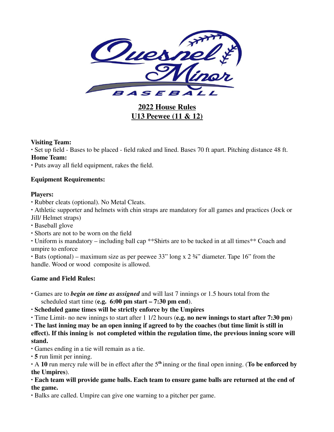

**2022 House Rules U13 Peewee (11 & 12)**

## **Visiting Team:**

∙ Set up field - Bases to be placed - field raked and lined. Bases 70 ft apart. Pitching distance 48 ft. **Home Team:**

∙ Puts away all field equipment, rakes the field.

# **Equipment Requirements:**

## **Players:**

∙ Rubber cleats (optional). No Metal Cleats.

∙ Athletic supporter and helmets with chin straps are mandatory for all games and practices (Jock or Jill/ Helmet straps)

- ∙ Baseball glove
- ∙ Shorts are not to be worn on the field

∙ Uniform is mandatory – including ball cap \*\*Shirts are to be tucked in at all times\*\* Coach and umpire to enforce

∙ Bats (optional) – maximum size as per peewee 33" long x 2 ¾" diameter. Tape 16" from the handle. Wood or wood composite is allowed.

# **Game and Field Rules:**

∙ Games are to *begin on time as assigned* and will last 7 innings or 1.5 hours total from the scheduled start time (**e.g. 6:00 pm start – 7:30 pm end**).

∙ **Scheduled game times will be strictly enforce by the Umpires**

∙ Time Limit- no new innings to start after 1 1/2 hours (**e.g. no new innings to start after 7:30 pm**)

∙ **The last inning may be an open inning if agreed to by the coaches (but time limit is still in effect). If this inning is not completed within the regulation time, the previous inning score will stand.**

∙ Games ending in a tie will remain as a tie.

∙ **5** run limit per inning.

∙ A **10** run mercy rule will be in effect after the 5 **th** inning or the final open inning. (**To be enforced by the Umpires**).

∙ **Each team will provide game balls. Each team to ensure game balls are returned at the end of the game.**

∙ Balks are called. Umpire can give one warning to a pitcher per game.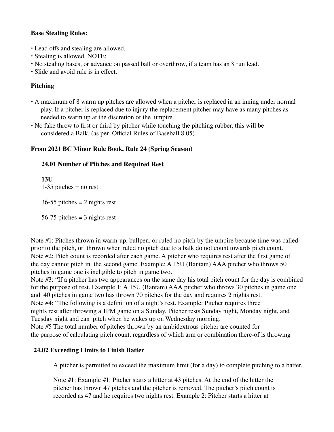## **Base Stealing Rules:**

- ∙ Lead offs and stealing are allowed.
- ∙ Stealing is allowed, NOTE:
- ∙ No stealing bases, or advance on passed ball or overthrow, if a team has an 8 run lead.
- ∙ Slide and avoid rule is in effect.

# **Pitching**

- ∙ A maximum of 8 warm up pitches are allowed when a pitcher is replaced in an inning under normal play. If a pitcher is replaced due to injury the replacement pitcher may have as many pitches as needed to warm up at the discretion of the umpire.
- ∙ No fake throw to first or third by pitcher while touching the pitching rubber, this will be considered a Balk. (as per Official Rules of Baseball 8.05)

## **From 2021 BC Minor Rule Book, Rule 24 (Spring Season)**

## **24.01 Number of Pitches and Required Rest**

**13U**  $1-35$  pitches = no rest

 $36-55$  pitches = 2 nights rest

56-75 pitches  $=$  3 nights rest

Note #1: Pitches thrown in warm-up, bullpen, or ruled no pitch by the umpire because time was called prior to the pitch, or thrown when ruled no pitch due to a balk do not count towards pitch count. Note #2: Pitch count is recorded after each game. A pitcher who requires rest after the first game of the day cannot pitch in the second game. Example: A 15U (Bantam) AAA pitcher who throws 50 pitches in game one is ineligible to pitch in game two.

Note #3: "If a pitcher has two appearances on the same day his total pitch count for the day is combined for the purpose of rest. Example 1: A 15U (Bantam) AAA pitcher who throws 30 pitches in game one and 40 pitches in game two has thrown 70 pitches for the day and requires 2 nights rest. Note #4: "The following is a definition of a night's rest. Example: Pitcher requires three nights rest after throwing a 1PM game on a Sunday. Pitcher rests Sunday night, Monday night, and Tuesday night and can pitch when he wakes up on Wednesday morning. Note #5 The total number of pitches thrown by an ambidextrous pitcher are counted for the purpose of calculating pitch count, regardless of which arm or combination there-of is throwing

# **24.02 Exceeding Limits to Finish Batter**

A pitcher is permitted to exceed the maximum limit (for a day) to complete pitching to a batter.

Note #1: Example #1: Pitcher starts a hitter at 43 pitches. At the end of the hitter the pitcher has thrown 47 pitches and the pitcher is removed. The pitcher's pitch count is recorded as 47 and he requires two nights rest. Example 2: Pitcher starts a hitter at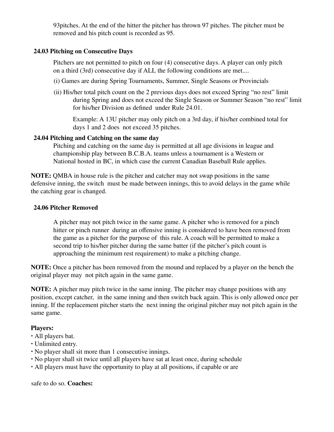93pitches. At the end of the hitter the pitcher has thrown 97 pitches. The pitcher must be removed and his pitch count is recorded as 95.

## **24.03 Pitching on Consecutive Days**

Pitchers are not permitted to pitch on four (4) consecutive days. A player can only pitch on a third (3rd) consecutive day if ALL the following conditions are met....

- (i) Games are during Spring Tournaments, Summer, Single Seasons or Provincials
- (ii) His/her total pitch count on the 2 previous days does not exceed Spring "no rest" limit during Spring and does not exceed the Single Season or Summer Season "no rest" limit for his/her Division as defined under Rule 24.01.

Example: A 13U pitcher may only pitch on a 3rd day, if his/her combined total for days 1 and 2 does not exceed 35 pitches.

### **24.04 Pitching and Catching on the same day**

Pitching and catching on the same day is permitted at all age divisions in league and championship play between B.C.B.A. teams unless a tournament is a Western or National hosted in BC, in which case the current Canadian Baseball Rule applies.

**NOTE:** QMBA in house rule is the pitcher and catcher may not swap positions in the same defensive inning, the switch must be made between innings, this to avoid delays in the game while the catching gear is changed.

### **24.06 Pitcher Removed**

A pitcher may not pitch twice in the same game. A pitcher who is removed for a pinch hitter or pinch runner during an offensive inning is considered to have been removed from the game as a pitcher for the purpose of this rule. A coach will be permitted to make a second trip to his/her pitcher during the same batter (if the pitcher's pitch count is approaching the minimum rest requirement) to make a pitching change.

**NOTE:** Once a pitcher has been removed from the mound and replaced by a player on the bench the original player may not pitch again in the same game.

**NOTE:** A pitcher may pitch twice in the same inning. The pitcher may change positions with any position, except catcher, in the same inning and then switch back again. This is only allowed once per inning. If the replacement pitcher starts the next inning the original pitcher may not pitch again in the same game.

## **Players:**

- ∙ All players bat.
- ∙ Unlimited entry.
- No player shall sit more than 1 consecutive innings.
- ∙ No player shall sit twice until all players have sat at least once, during schedule
- ∙ All players must have the opportunity to play at all positions, if capable or are

safe to do so. **Coaches:**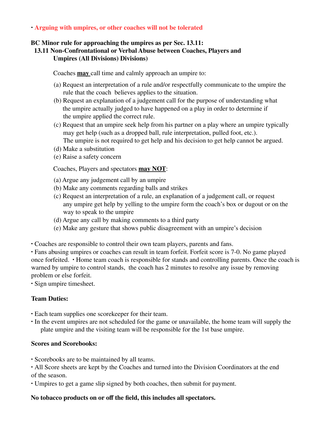## ∙ **Arguing with umpires, or other coaches will not be tolerated**

### **BC Minor rule for approaching the umpires as per Sec. 13.11:**

# **13.11 Non-Confrontational or Verbal Abuse between Coaches, Players and Umpires (All Divisions) Divisions)**

Coaches **may** call time and calmly approach an umpire to:

- (a) Request an interpretation of a rule and/or respectfully communicate to the umpire the rule that the coach believes applies to the situation.
- (b) Request an explanation of a judgement call for the purpose of understanding what the umpire actually judged to have happened on a play in order to determine if the umpire applied the correct rule.
- (c) Request that an umpire seek help from his partner on a play where an umpire typically may get help (such as a dropped ball, rule interpretation, pulled foot, etc.). The umpire is not required to get help and his decision to get help cannot be argued.
- (d) Make a substitution
- (e) Raise a safety concern

Coaches, Players and spectators **may NOT**:

- (a) Argue any judgement call by an umpire
- (b) Make any comments regarding balls and strikes
- (c) Request an interpretation of a rule, an explanation of a judgement call, or request any umpire get help by yelling to the umpire form the coach's box or dugout or on the way to speak to the umpire
- (d) Argue any call by making comments to a third party
- (e) Make any gesture that shows public disagreement with an umpire's decision
- ∙ Coaches are responsible to control their own team players, parents and fans.

∙ Fans abusing umpires or coaches can result in team forfeit. Forfeit score is 7-0. No game played once forfeited. ∙ Home team coach is responsible for stands and controlling parents. Once the coach is warned by umpire to control stands, the coach has 2 minutes to resolve any issue by removing problem or else forfeit.

∙ Sign umpire timesheet.

### **Team Duties:**

- ∙ Each team supplies one scorekeeper for their team.
- ∙ In the event umpires are not scheduled for the game or unavailable, the home team will supply the plate umpire and the visiting team will be responsible for the 1st base umpire.

### **Scores and Scorebooks:**

∙ Scorebooks are to be maintained by all teams.

∙ All Score sheets are kept by the Coaches and turned into the Division Coordinators at the end of the season.

∙ Umpires to get a game slip signed by both coaches, then submit for payment.

### **No tobacco products on or off the field, this includes all spectators.**